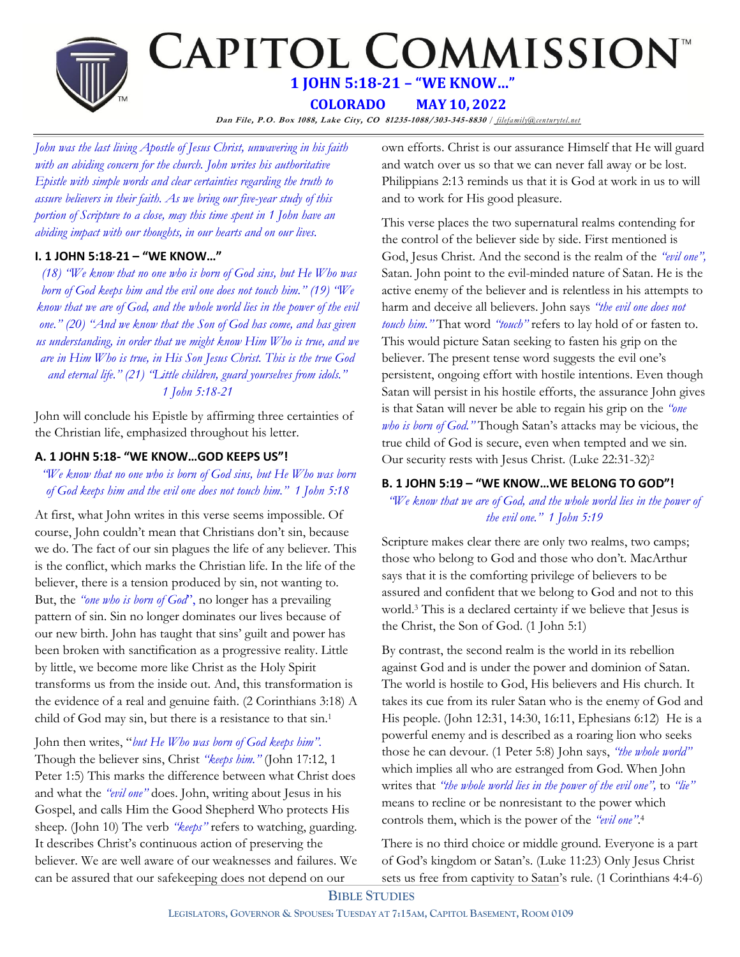

*John was the last living Apostle of Jesus Christ, unwavering in his faith with an abiding concern for the church. John writes his authoritative Epistle with simple words and clear certainties regarding the truth to assure believers in their faith. As we bring our five-year study of this portion of Scripture to a close, may this time spent in 1 John have an abiding impact with our thoughts, in our hearts and on our lives.*

# **I. 1 JOHN 5:18-21 – "WE KNOW…"**

*(18) "We know that no one who is born of God sins, but He Who was born of God keeps him and the evil one does not touch him." (19) "We know that we are of God, and the whole world lies in the power of the evil one." (20) "And we know that the Son of God has come, and has given us understanding, in order that we might know Him Who is true, and we are in Him Who is true, in His Son Jesus Christ. This is the true God and eternal life." (21) "Little children, guard yourselves from idols." 1 John 5:18-21* 

John will conclude his Epistle by affirming three certainties of the Christian life, emphasized throughout his letter.

## **A. 1 JOHN 5:18- "WE KNOW…GOD KEEPS US"!**

*"We know that no one who is born of God sins, but He Who was born of God keeps him and the evil one does not touch him." 1 John 5:18*

At first, what John writes in this verse seems impossible. Of course, John couldn't mean that Christians don't sin, because we do. The fact of our sin plagues the life of any believer. This is the conflict, which marks the Christian life. In the life of the believer, there is a tension produced by sin, not wanting to. But, the *"one who is born of God*", no longer has a prevailing pattern of sin. Sin no longer dominates our lives because of our new birth. John has taught that sins' guilt and power has been broken with sanctification as a progressive reality. Little by little, we become more like Christ as the Holy Spirit transforms us from the inside out. And, this transformation is the evidence of a real and genuine faith. (2 Corinthians 3:18) A child of God may sin, but there is a resistance to that sin.<sup>1</sup>

John then writes, "*but He Who was born of God keeps him".*  Though the believer sins, Christ *"keeps him."* (John 17:12, 1 Peter 1:5) This marks the difference between what Christ does and what the *"evil one"* does. John, writing about Jesus in his Gospel, and calls Him the Good Shepherd Who protects His sheep. (John 10) The verb *"keeps"* refers to watching, guarding. It describes Christ's continuous action of preserving the believer. We are well aware of our weaknesses and failures. We can be assured that our safekeeping does not depend on our

own efforts. Christ is our assurance Himself that He will guard and watch over us so that we can never fall away or be lost. Philippians 2:13 reminds us that it is God at work in us to will and to work for His good pleasure.

This verse places the two supernatural realms contending for the control of the believer side by side. First mentioned is God, Jesus Christ. And the second is the realm of the *"evil one",* Satan. John point to the evil-minded nature of Satan. He is the active enemy of the believer and is relentless in his attempts to harm and deceive all believers. John says *"the evil one does not touch him."* That word *"touch"* refers to lay hold of or fasten to. This would picture Satan seeking to fasten his grip on the believer. The present tense word suggests the evil one's persistent, ongoing effort with hostile intentions. Even though Satan will persist in his hostile efforts, the assurance John gives is that Satan will never be able to regain his grip on the *"one who is born of God."* Though Satan's attacks may be vicious, the true child of God is secure, even when tempted and we sin. Our security rests with Jesus Christ. (Luke 22:31-32)<sup>2</sup>

# **B. 1 JOHN 5:19 – "WE KNOW…WE BELONG TO GOD"!**

*"We know that we are of God, and the whole world lies in the power of the evil one." 1 John 5:19*

Scripture makes clear there are only two realms, two camps; those who belong to God and those who don't. MacArthur says that it is the comforting privilege of believers to be assured and confident that we belong to God and not to this world.<sup>3</sup> This is a declared certainty if we believe that Jesus is the Christ, the Son of God. (1 John 5:1)

By contrast, the second realm is the world in its rebellion against God and is under the power and dominion of Satan. The world is hostile to God, His believers and His church. It takes its cue from its ruler Satan who is the enemy of God and His people. (John 12:31, 14:30, 16:11, Ephesians 6:12) He is a powerful enemy and is described as a roaring lion who seeks those he can devour. (1 Peter 5:8) John says, *"the whole world"* which implies all who are estranged from God. When John writes that *"the whole world lies in the power of the evil one",* to *"lie"* means to recline or be nonresistant to the power which controls them, which is the power of the *"evil one"*. 4

There is no third choice or middle ground. Everyone is a part of God's kingdom or Satan's. (Luke 11:23) Only Jesus Christ sets us free from captivity to Satan's rule. (1 Corinthians 4:4-6)